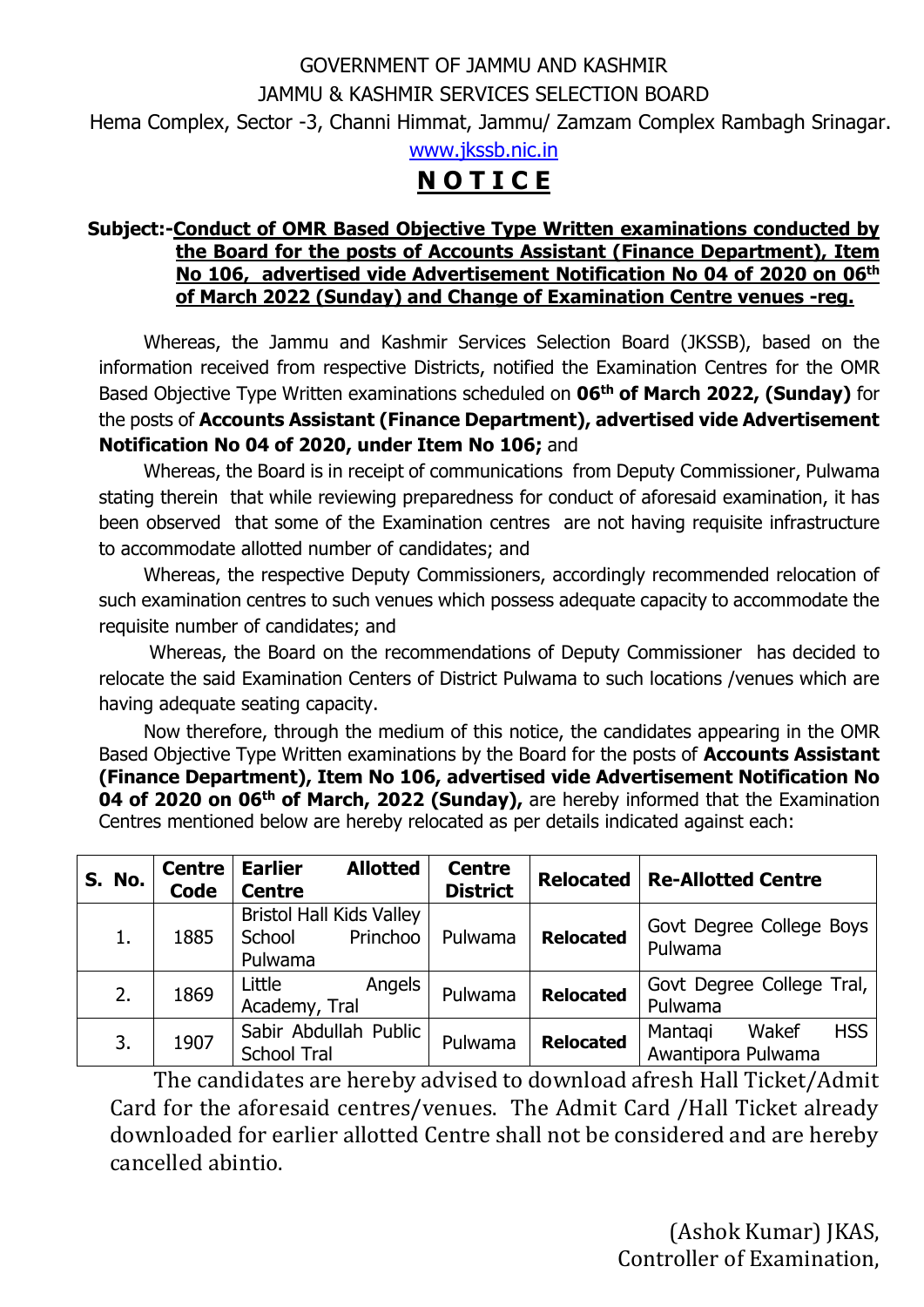## GOVERNMENT OF JAMMU AND KASHMIR JAMMU & KASHMIR SERVICES SELECTION BOARD Hema Complex, Sector -3, Channi Himmat, Jammu/ Zamzam Complex Rambagh Srinagar.

[www.jkssb.nic.in](http://www.jkssb.nic.in/)

## **N O T I C E**

## **Subject:-Conduct of OMR Based Objective Type Written examinations conducted by the Board for the posts of Accounts Assistant (Finance Department), Item No 106, advertised vide Advertisement Notification No 04 of 2020 on 06th of March 2022 (Sunday) and Change of Examination Centre venues -reg.**

Whereas, the Jammu and Kashmir Services Selection Board (JKSSB), based on the information received from respective Districts, notified the Examination Centres for the OMR Based Objective Type Written examinations scheduled on **06th of March 2022, (Sunday)** for the posts of **Accounts Assistant (Finance Department), advertised vide Advertisement Notification No 04 of 2020, under Item No 106;** and

Whereas, the Board is in receipt of communications from Deputy Commissioner, Pulwama stating therein that while reviewing preparedness for conduct of aforesaid examination, it has been observed that some of the Examination centres are not having requisite infrastructure to accommodate allotted number of candidates; and

Whereas, the respective Deputy Commissioners, accordingly recommended relocation of such examination centres to such venues which possess adequate capacity to accommodate the requisite number of candidates; and

Whereas, the Board on the recommendations of Deputy Commissioner has decided to relocate the said Examination Centers of District Pulwama to such locations /venues which are having adequate seating capacity.

Now therefore, through the medium of this notice, the candidates appearing in the OMR Based Objective Type Written examinations by the Board for the posts of **Accounts Assistant (Finance Department), Item No 106, advertised vide Advertisement Notification No 04 of 2020 on 06th of March, 2022 (Sunday),** are hereby informed that the Examination Centres mentioned below are hereby relocated as per details indicated against each:

| S. No. | <b>Centre</b><br><b>Code</b> | <b>Allotted</b><br><b>Earlier</b><br><b>Centre</b>               | <b>Centre</b><br><b>District</b> | <b>Relocated</b> | <b>Re-Allotted Centre</b>                            |
|--------|------------------------------|------------------------------------------------------------------|----------------------------------|------------------|------------------------------------------------------|
| 1.     | 1885                         | <b>Bristol Hall Kids Valley</b><br>Princhoo<br>School<br>Pulwama | Pulwama                          | <b>Relocated</b> | Govt Degree College Boys<br>Pulwama                  |
| 2.     | 1869                         | Little<br>Angels<br>Academy, Tral                                | Pulwama                          | <b>Relocated</b> | Govt Degree College Tral,<br>Pulwama                 |
| 3.     | 1907                         | Sabir Abdullah Public<br><b>School Tral</b>                      | Pulwama                          | <b>Relocated</b> | <b>HSS</b><br>Mantagi<br>Wakef<br>Awantipora Pulwama |

The candidates are hereby advised to download afresh Hall Ticket/Admit Card for the aforesaid centres/venues. The Admit Card /Hall Ticket already downloaded for earlier allotted Centre shall not be considered and are hereby cancelled abintio.